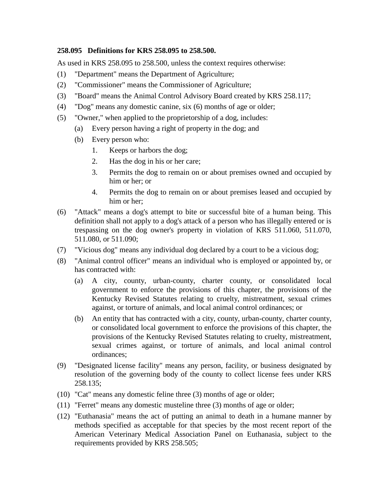## **258.095 Definitions for KRS 258.095 to 258.500.**

As used in KRS 258.095 to 258.500, unless the context requires otherwise:

- (1) "Department" means the Department of Agriculture;
- (2) "Commissioner" means the Commissioner of Agriculture;
- (3) "Board" means the Animal Control Advisory Board created by KRS 258.117;
- (4) "Dog" means any domestic canine, six (6) months of age or older;
- (5) "Owner," when applied to the proprietorship of a dog, includes:
	- (a) Every person having a right of property in the dog; and
	- (b) Every person who:
		- 1. Keeps or harbors the dog;
		- 2. Has the dog in his or her care;
		- 3. Permits the dog to remain on or about premises owned and occupied by him or her; or
		- 4. Permits the dog to remain on or about premises leased and occupied by him or her;
- (6) "Attack" means a dog's attempt to bite or successful bite of a human being. This definition shall not apply to a dog's attack of a person who has illegally entered or is trespassing on the dog owner's property in violation of KRS 511.060, 511.070, 511.080, or 511.090;
- (7) "Vicious dog" means any individual dog declared by a court to be a vicious dog;
- (8) "Animal control officer" means an individual who is employed or appointed by, or has contracted with:
	- (a) A city, county, urban-county, charter county, or consolidated local government to enforce the provisions of this chapter, the provisions of the Kentucky Revised Statutes relating to cruelty, mistreatment, sexual crimes against, or torture of animals, and local animal control ordinances; or
	- (b) An entity that has contracted with a city, county, urban-county, charter county, or consolidated local government to enforce the provisions of this chapter, the provisions of the Kentucky Revised Statutes relating to cruelty, mistreatment, sexual crimes against, or torture of animals, and local animal control ordinances;
- (9) "Designated license facility" means any person, facility, or business designated by resolution of the governing body of the county to collect license fees under KRS 258.135;
- (10) "Cat" means any domestic feline three (3) months of age or older;
- (11) "Ferret" means any domestic musteline three (3) months of age or older;
- (12) "Euthanasia" means the act of putting an animal to death in a humane manner by methods specified as acceptable for that species by the most recent report of the American Veterinary Medical Association Panel on Euthanasia, subject to the requirements provided by KRS 258.505;